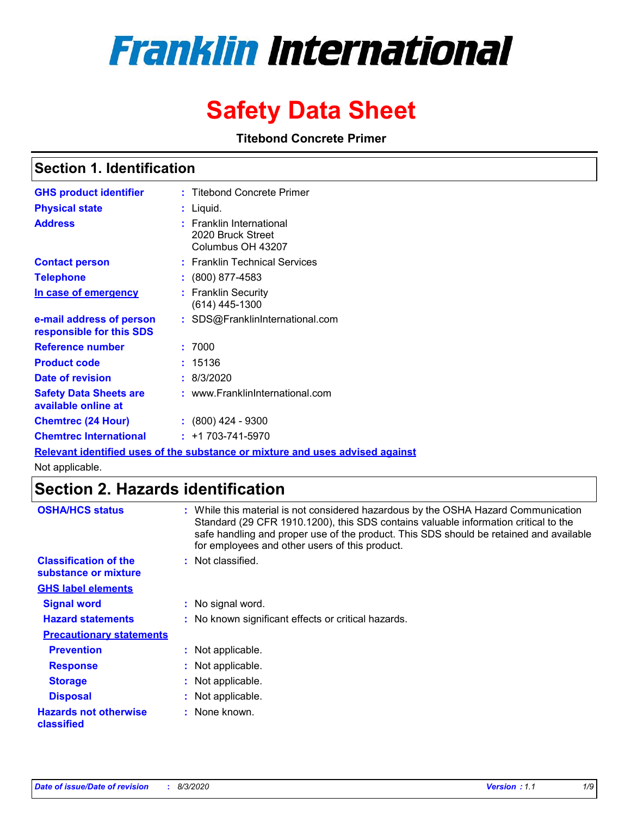# **Franklin International**

## **Safety Data Sheet**

**Titebond Concrete Primer**

### **Section 1. Identification**

| <b>GHS product identifier</b>                        | : Titebond Concrete Primer                                         |
|------------------------------------------------------|--------------------------------------------------------------------|
| <b>Physical state</b>                                | : Liquid.                                                          |
| <b>Address</b>                                       | : Franklin International<br>2020 Bruck Street<br>Columbus OH 43207 |
| <b>Contact person</b>                                | : Franklin Technical Services                                      |
| <b>Telephone</b>                                     | $\colon$ (800) 877-4583                                            |
| <u>In case of emergency</u>                          | : Franklin Security<br>(614) 445-1300                              |
| e-mail address of person<br>responsible for this SDS | : SDS@FranklinInternational.com                                    |
| <b>Reference number</b>                              | : 7000                                                             |
| <b>Product code</b>                                  | 15136                                                              |
| Date of revision                                     | : 8/3/2020                                                         |
| <b>Safety Data Sheets are</b><br>available online at | : www.FranklinInternational.com                                    |
| <b>Chemtrec (24 Hour)</b>                            | $: (800)$ 424 - 9300                                               |
| <b>Chemtrec International</b>                        | $: +1703 - 741 - 5970$                                             |

**Relevant identified uses of the substance or mixture and uses advised against**

Not applicable.

### **Section 2. Hazards identification**

| <b>OSHA/HCS status</b>                               | : While this material is not considered hazardous by the OSHA Hazard Communication<br>Standard (29 CFR 1910.1200), this SDS contains valuable information critical to the<br>safe handling and proper use of the product. This SDS should be retained and available<br>for employees and other users of this product. |
|------------------------------------------------------|-----------------------------------------------------------------------------------------------------------------------------------------------------------------------------------------------------------------------------------------------------------------------------------------------------------------------|
| <b>Classification of the</b><br>substance or mixture | : Not classified.                                                                                                                                                                                                                                                                                                     |
| <b>GHS label elements</b>                            |                                                                                                                                                                                                                                                                                                                       |
| <b>Signal word</b>                                   | : No signal word.                                                                                                                                                                                                                                                                                                     |
| <b>Hazard statements</b>                             | : No known significant effects or critical hazards.                                                                                                                                                                                                                                                                   |
| <b>Precautionary statements</b>                      |                                                                                                                                                                                                                                                                                                                       |
| <b>Prevention</b>                                    | : Not applicable.                                                                                                                                                                                                                                                                                                     |
| <b>Response</b>                                      | : Not applicable.                                                                                                                                                                                                                                                                                                     |
| <b>Storage</b>                                       | : Not applicable.                                                                                                                                                                                                                                                                                                     |
| <b>Disposal</b>                                      | : Not applicable.                                                                                                                                                                                                                                                                                                     |
| <b>Hazards not otherwise</b><br>classified           | : None known.                                                                                                                                                                                                                                                                                                         |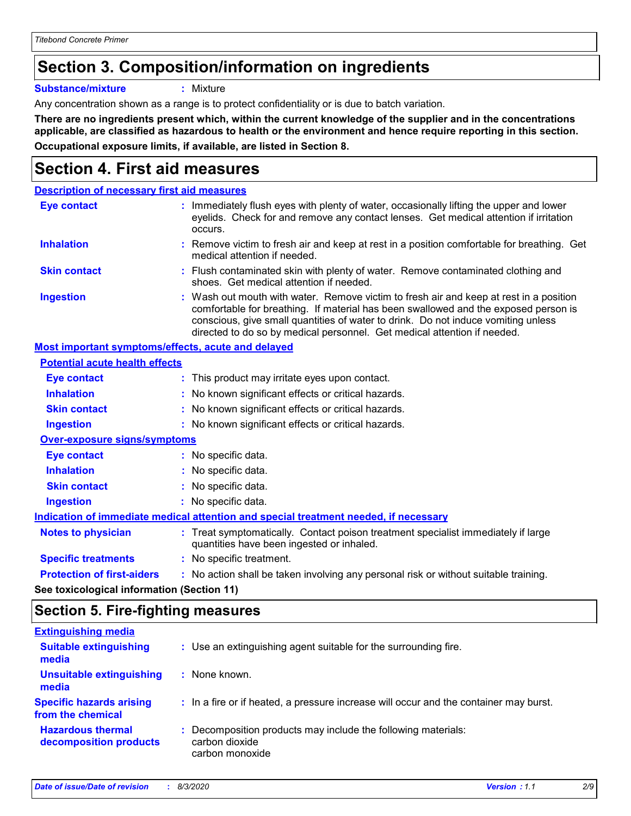### **Section 3. Composition/information on ingredients**

**Substance/mixture :** Mixture

Any concentration shown as a range is to protect confidentiality or is due to batch variation.

**There are no ingredients present which, within the current knowledge of the supplier and in the concentrations applicable, are classified as hazardous to health or the environment and hence require reporting in this section. Occupational exposure limits, if available, are listed in Section 8.**

### **Section 4. First aid measures**

| <b>Description of necessary first aid measures</b> |                                                                                                                                                                                                                                                                                                                                                |
|----------------------------------------------------|------------------------------------------------------------------------------------------------------------------------------------------------------------------------------------------------------------------------------------------------------------------------------------------------------------------------------------------------|
| <b>Eye contact</b>                                 | : Immediately flush eyes with plenty of water, occasionally lifting the upper and lower<br>eyelids. Check for and remove any contact lenses. Get medical attention if irritation<br>occurs.                                                                                                                                                    |
| <b>Inhalation</b>                                  | : Remove victim to fresh air and keep at rest in a position comfortable for breathing. Get<br>medical attention if needed.                                                                                                                                                                                                                     |
| <b>Skin contact</b>                                | : Flush contaminated skin with plenty of water. Remove contaminated clothing and<br>shoes. Get medical attention if needed.                                                                                                                                                                                                                    |
| <b>Ingestion</b>                                   | : Wash out mouth with water. Remove victim to fresh air and keep at rest in a position<br>comfortable for breathing. If material has been swallowed and the exposed person is<br>conscious, give small quantities of water to drink. Do not induce vomiting unless<br>directed to do so by medical personnel. Get medical attention if needed. |
| Most important symptoms/effects, acute and delayed |                                                                                                                                                                                                                                                                                                                                                |
| <b>Potential acute health effects</b>              |                                                                                                                                                                                                                                                                                                                                                |
| Eye contact                                        | : This product may irritate eyes upon contact.                                                                                                                                                                                                                                                                                                 |
| <b>Inhalation</b>                                  | : No known significant effects or critical hazards.                                                                                                                                                                                                                                                                                            |
| <b>Skin contact</b>                                | : No known significant effects or critical hazards.                                                                                                                                                                                                                                                                                            |
| <b>Ingestion</b>                                   | : No known significant effects or critical hazards.                                                                                                                                                                                                                                                                                            |
| <b>Over-exposure signs/symptoms</b>                |                                                                                                                                                                                                                                                                                                                                                |
| <b>Eye contact</b>                                 | : No specific data.                                                                                                                                                                                                                                                                                                                            |
| <b>Inhalation</b>                                  | : No specific data.                                                                                                                                                                                                                                                                                                                            |
| <b>Skin contact</b>                                | : No specific data.                                                                                                                                                                                                                                                                                                                            |
| <b>Ingestion</b>                                   | : No specific data.                                                                                                                                                                                                                                                                                                                            |
|                                                    | Indication of immediate medical attention and special treatment needed, if necessary                                                                                                                                                                                                                                                           |
| <b>Notes to physician</b>                          | : Treat symptomatically. Contact poison treatment specialist immediately if large<br>quantities have been ingested or inhaled.                                                                                                                                                                                                                 |
| <b>Specific treatments</b>                         | : No specific treatment.                                                                                                                                                                                                                                                                                                                       |
| <b>Protection of first-aiders</b>                  | : No action shall be taken involving any personal risk or without suitable training.                                                                                                                                                                                                                                                           |
|                                                    |                                                                                                                                                                                                                                                                                                                                                |

**See toxicological information (Section 11)**

### **Section 5. Fire-fighting measures**

| <b>Extinguishing media</b>                           |                                                                                                    |
|------------------------------------------------------|----------------------------------------------------------------------------------------------------|
| <b>Suitable extinguishing</b><br>media               | : Use an extinguishing agent suitable for the surrounding fire.                                    |
| <b>Unsuitable extinguishing</b><br>media             | : None known.                                                                                      |
| <b>Specific hazards arising</b><br>from the chemical | : In a fire or if heated, a pressure increase will occur and the container may burst.              |
| <b>Hazardous thermal</b><br>decomposition products   | : Decomposition products may include the following materials:<br>carbon dioxide<br>carbon monoxide |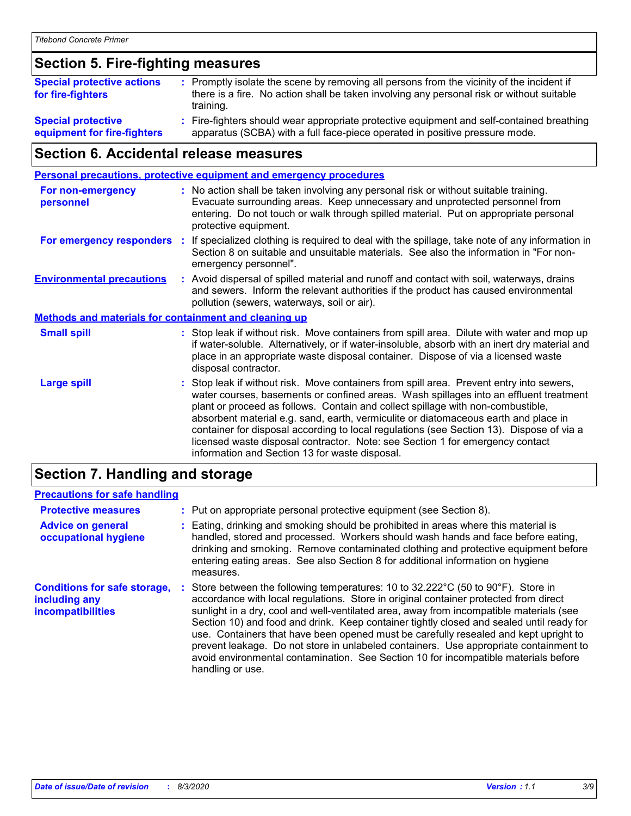### **Section 5. Fire-fighting measures**

| <b>Special protective actions</b><br>for fire-fighters   | : Promptly isolate the scene by removing all persons from the vicinity of the incident if<br>there is a fire. No action shall be taken involving any personal risk or without suitable<br>training. |
|----------------------------------------------------------|-----------------------------------------------------------------------------------------------------------------------------------------------------------------------------------------------------|
| <b>Special protective</b><br>equipment for fire-fighters | Fire-fighters should wear appropriate protective equipment and self-contained breathing<br>apparatus (SCBA) with a full face-piece operated in positive pressure mode.                              |

### **Section 6. Accidental release measures**

|                                                              |    | <b>Personal precautions, protective equipment and emergency procedures</b>                                                                                                                                                                                                                                                                                                                                                                                                                                                                                                                 |
|--------------------------------------------------------------|----|--------------------------------------------------------------------------------------------------------------------------------------------------------------------------------------------------------------------------------------------------------------------------------------------------------------------------------------------------------------------------------------------------------------------------------------------------------------------------------------------------------------------------------------------------------------------------------------------|
| For non-emergency<br>personnel                               |    | : No action shall be taken involving any personal risk or without suitable training.<br>Evacuate surrounding areas. Keep unnecessary and unprotected personnel from<br>entering. Do not touch or walk through spilled material. Put on appropriate personal<br>protective equipment.                                                                                                                                                                                                                                                                                                       |
| For emergency responders                                     | ÷. | If specialized clothing is required to deal with the spillage, take note of any information in<br>Section 8 on suitable and unsuitable materials. See also the information in "For non-<br>emergency personnel".                                                                                                                                                                                                                                                                                                                                                                           |
| <b>Environmental precautions</b>                             |    | : Avoid dispersal of spilled material and runoff and contact with soil, waterways, drains<br>and sewers. Inform the relevant authorities if the product has caused environmental<br>pollution (sewers, waterways, soil or air).                                                                                                                                                                                                                                                                                                                                                            |
| <b>Methods and materials for containment and cleaning up</b> |    |                                                                                                                                                                                                                                                                                                                                                                                                                                                                                                                                                                                            |
| <b>Small spill</b>                                           |    | : Stop leak if without risk. Move containers from spill area. Dilute with water and mop up<br>if water-soluble. Alternatively, or if water-insoluble, absorb with an inert dry material and<br>place in an appropriate waste disposal container. Dispose of via a licensed waste<br>disposal contractor.                                                                                                                                                                                                                                                                                   |
| <b>Large spill</b>                                           |    | : Stop leak if without risk. Move containers from spill area. Prevent entry into sewers,<br>water courses, basements or confined areas. Wash spillages into an effluent treatment<br>plant or proceed as follows. Contain and collect spillage with non-combustible,<br>absorbent material e.g. sand, earth, vermiculite or diatomaceous earth and place in<br>container for disposal according to local regulations (see Section 13). Dispose of via a<br>licensed waste disposal contractor. Note: see Section 1 for emergency contact<br>information and Section 13 for waste disposal. |
|                                                              |    |                                                                                                                                                                                                                                                                                                                                                                                                                                                                                                                                                                                            |

### **Section 7. Handling and storage**

### **Precautions for safe handling**

| <b>Protective measures</b>                                                | : Put on appropriate personal protective equipment (see Section 8).                                                                                                                                                                                                                                                                                                                                                                                                                                                                                                                                                                                                            |
|---------------------------------------------------------------------------|--------------------------------------------------------------------------------------------------------------------------------------------------------------------------------------------------------------------------------------------------------------------------------------------------------------------------------------------------------------------------------------------------------------------------------------------------------------------------------------------------------------------------------------------------------------------------------------------------------------------------------------------------------------------------------|
| <b>Advice on general</b><br>occupational hygiene                          | Eating, drinking and smoking should be prohibited in areas where this material is<br>handled, stored and processed. Workers should wash hands and face before eating,<br>drinking and smoking. Remove contaminated clothing and protective equipment before<br>entering eating areas. See also Section 8 for additional information on hygiene<br>measures.                                                                                                                                                                                                                                                                                                                    |
| <b>Conditions for safe storage,</b><br>including any<br>incompatibilities | Store between the following temperatures: 10 to $32.222^{\circ}$ C (50 to $90^{\circ}$ F). Store in<br>accordance with local regulations. Store in original container protected from direct<br>sunlight in a dry, cool and well-ventilated area, away from incompatible materials (see<br>Section 10) and food and drink. Keep container tightly closed and sealed until ready for<br>use. Containers that have been opened must be carefully resealed and kept upright to<br>prevent leakage. Do not store in unlabeled containers. Use appropriate containment to<br>avoid environmental contamination. See Section 10 for incompatible materials before<br>handling or use. |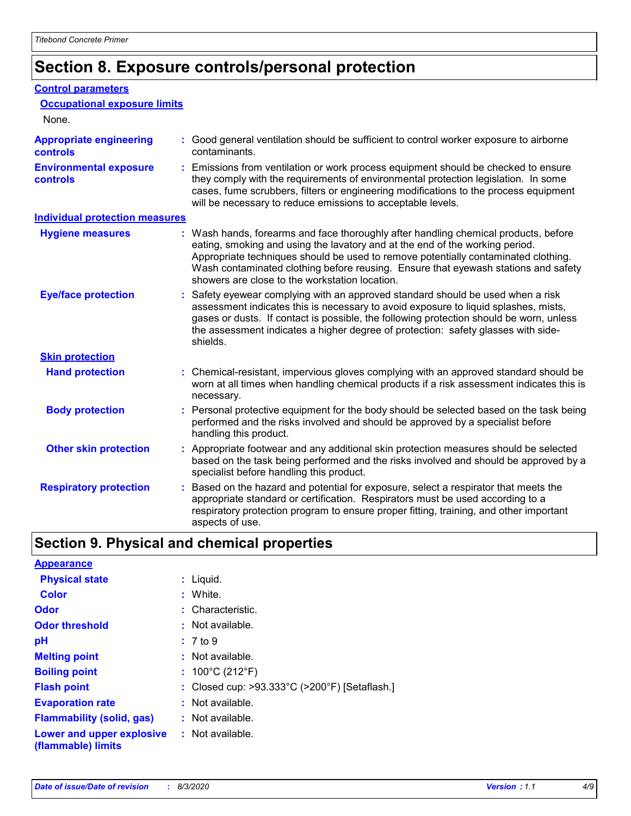### **Section 8. Exposure controls/personal protection**

#### **Control parameters**

| <b>Occupational exposure limits</b><br>None.      |                                                                                                                                                                                                                                                                                                                                                                                                   |
|---------------------------------------------------|---------------------------------------------------------------------------------------------------------------------------------------------------------------------------------------------------------------------------------------------------------------------------------------------------------------------------------------------------------------------------------------------------|
| <b>Appropriate engineering</b><br><b>controls</b> | : Good general ventilation should be sufficient to control worker exposure to airborne<br>contaminants.                                                                                                                                                                                                                                                                                           |
| <b>Environmental exposure</b><br><b>controls</b>  | : Emissions from ventilation or work process equipment should be checked to ensure<br>they comply with the requirements of environmental protection legislation. In some<br>cases, fume scrubbers, filters or engineering modifications to the process equipment<br>will be necessary to reduce emissions to acceptable levels.                                                                   |
| <b>Individual protection measures</b>             |                                                                                                                                                                                                                                                                                                                                                                                                   |
| <b>Hygiene measures</b>                           | : Wash hands, forearms and face thoroughly after handling chemical products, before<br>eating, smoking and using the lavatory and at the end of the working period.<br>Appropriate techniques should be used to remove potentially contaminated clothing.<br>Wash contaminated clothing before reusing. Ensure that eyewash stations and safety<br>showers are close to the workstation location. |
| <b>Eye/face protection</b>                        | : Safety eyewear complying with an approved standard should be used when a risk<br>assessment indicates this is necessary to avoid exposure to liquid splashes, mists,<br>gases or dusts. If contact is possible, the following protection should be worn, unless<br>the assessment indicates a higher degree of protection: safety glasses with side-<br>shields.                                |
| <b>Skin protection</b>                            |                                                                                                                                                                                                                                                                                                                                                                                                   |
| <b>Hand protection</b>                            | : Chemical-resistant, impervious gloves complying with an approved standard should be<br>worn at all times when handling chemical products if a risk assessment indicates this is<br>necessary.                                                                                                                                                                                                   |
| <b>Body protection</b>                            | : Personal protective equipment for the body should be selected based on the task being<br>performed and the risks involved and should be approved by a specialist before<br>handling this product.                                                                                                                                                                                               |
| <b>Other skin protection</b>                      | : Appropriate footwear and any additional skin protection measures should be selected<br>based on the task being performed and the risks involved and should be approved by a<br>specialist before handling this product.                                                                                                                                                                         |
| <b>Respiratory protection</b>                     | Based on the hazard and potential for exposure, select a respirator that meets the<br>appropriate standard or certification. Respirators must be used according to a<br>respiratory protection program to ensure proper fitting, training, and other important<br>aspects of use.                                                                                                                 |

### **Section 9. Physical and chemical properties**

| <b>Appearance</b>                                                       |                                               |
|-------------------------------------------------------------------------|-----------------------------------------------|
| <b>Physical state</b>                                                   | : Liquid.                                     |
| <b>Color</b>                                                            | : White.                                      |
| <b>Odor</b>                                                             | : Characteristic.                             |
| <b>Odor threshold</b>                                                   | $:$ Not available.                            |
| рH                                                                      | : 7 to 9                                      |
| <b>Melting point</b>                                                    | $:$ Not available.                            |
| <b>Boiling point</b>                                                    | : $100^{\circ}$ C (212 $^{\circ}$ F)          |
| <b>Flash point</b>                                                      | : Closed cup: >93.333°C (>200°F) [Setaflash.] |
| <b>Evaporation rate</b>                                                 | $:$ Not available.                            |
| <b>Flammability (solid, gas)</b>                                        | $:$ Not available.                            |
| <b>Lower and upper explosive : Not available.</b><br>(flammable) limits |                                               |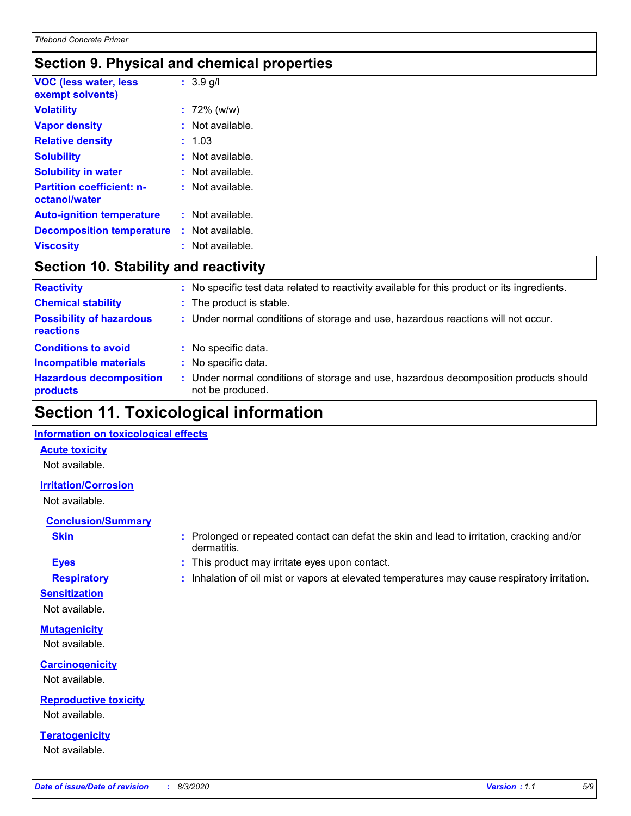### **Section 9. Physical and chemical properties**

| <b>VOC (less water, less</b><br>exempt solvents)  | $: 3.9$ g/l      |
|---------------------------------------------------|------------------|
| <b>Volatility</b>                                 | $: 72\%$ (w/w)   |
| <b>Vapor density</b>                              | Not available.   |
| <b>Relative density</b>                           | 1.03             |
| <b>Solubility</b>                                 | Not available.   |
| <b>Solubility in water</b>                        | Not available.   |
| <b>Partition coefficient: n-</b><br>octanol/water | : Not available. |
| <b>Auto-ignition temperature</b>                  | Not available.   |
| <b>Decomposition temperature</b>                  | Not available.   |
| <b>Viscositv</b>                                  | Not available.   |

### **Section 10. Stability and reactivity**

| <b>Reactivity</b>                            | : No specific test data related to reactivity available for this product or its ingredients.            |
|----------------------------------------------|---------------------------------------------------------------------------------------------------------|
| <b>Chemical stability</b>                    | : The product is stable.                                                                                |
| <b>Possibility of hazardous</b><br>reactions | : Under normal conditions of storage and use, hazardous reactions will not occur.                       |
| <b>Conditions to avoid</b>                   | : No specific data.                                                                                     |
| <b>Incompatible materials</b>                | No specific data.                                                                                       |
| <b>Hazardous decomposition</b><br>products   | Under normal conditions of storage and use, hazardous decomposition products should<br>not be produced. |

### **Section 11. Toxicological information**

#### **Information on toxicological effects**

#### **Acute toxicity**

Not available.

#### **Irritation/Corrosion**

Not available.

### **Conclusion/Summary**

- 
- **Sensitization**

Not available.

### **Mutagenicity**

Not available.

#### **Carcinogenicity** Not available.

**Reproductive toxicity** Not available.

#### **Teratogenicity** Not available.

- **Skin Example 3 :** Prolonged or repeated contact can defat the skin and lead to irritation, cracking and/or dermatitis.
- **Eyes :** This product may irritate eyes upon contact.
- **Respiratory :** Inhalation of oil mist or vapors at elevated temperatures may cause respiratory irritation.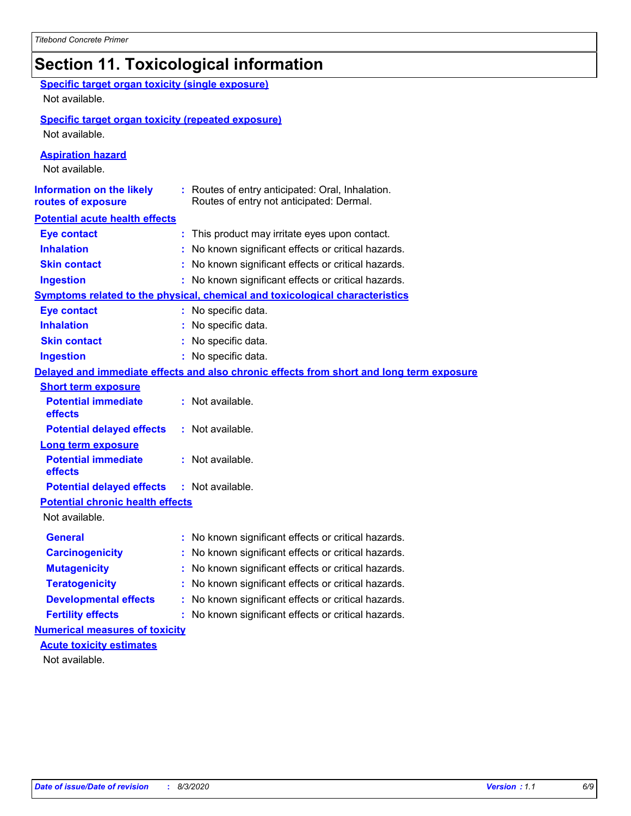### **Section 11. Toxicological information**

| <b>Specific target organ toxicity (single exposure)</b><br>Not available. |                                                                                              |
|---------------------------------------------------------------------------|----------------------------------------------------------------------------------------------|
|                                                                           |                                                                                              |
| <b>Specific target organ toxicity (repeated exposure)</b>                 |                                                                                              |
| Not available.                                                            |                                                                                              |
| <b>Aspiration hazard</b><br>Not available.                                |                                                                                              |
| <b>Information on the likely</b><br>routes of exposure                    | : Routes of entry anticipated: Oral, Inhalation.<br>Routes of entry not anticipated: Dermal. |
| <b>Potential acute health effects</b>                                     |                                                                                              |
| <b>Eye contact</b>                                                        | : This product may irritate eyes upon contact.                                               |
| <b>Inhalation</b>                                                         | : No known significant effects or critical hazards.                                          |
| <b>Skin contact</b>                                                       | : No known significant effects or critical hazards.                                          |
| <b>Ingestion</b>                                                          | : No known significant effects or critical hazards.                                          |
|                                                                           | <b>Symptoms related to the physical, chemical and toxicological characteristics</b>          |
| <b>Eye contact</b>                                                        | : No specific data.                                                                          |
| <b>Inhalation</b>                                                         | : No specific data.                                                                          |
| <b>Skin contact</b>                                                       | : No specific data.                                                                          |
| <b>Ingestion</b>                                                          | : No specific data.                                                                          |
|                                                                           | Delayed and immediate effects and also chronic effects from short and long term exposure     |
| <b>Short term exposure</b>                                                |                                                                                              |
| <b>Potential immediate</b><br>effects                                     | : Not available.                                                                             |
| <b>Potential delayed effects</b>                                          | : Not available.                                                                             |
| <b>Long term exposure</b>                                                 |                                                                                              |
| <b>Potential immediate</b><br>effects                                     | : Not available.                                                                             |
| <b>Potential delayed effects</b>                                          | : Not available.                                                                             |
| <b>Potential chronic health effects</b>                                   |                                                                                              |
| Not available.                                                            |                                                                                              |
| General                                                                   | : No known significant effects or critical hazards.                                          |
| <b>Carcinogenicity</b>                                                    | : No known significant effects or critical hazards.                                          |
| <b>Mutagenicity</b>                                                       | No known significant effects or critical hazards.                                            |
| <b>Teratogenicity</b>                                                     | No known significant effects or critical hazards.                                            |
| <b>Developmental effects</b>                                              | : No known significant effects or critical hazards.                                          |
| <b>Fertility effects</b>                                                  | : No known significant effects or critical hazards.                                          |
| <b>Numerical measures of toxicity</b>                                     |                                                                                              |
| <b>Acute toxicity estimates</b>                                           |                                                                                              |
| Not available.                                                            |                                                                                              |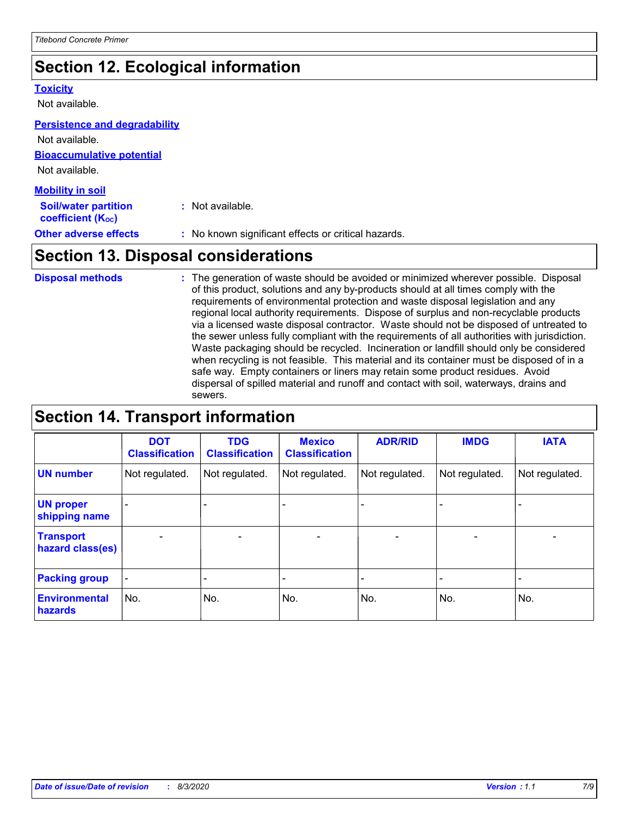### **Section 12. Ecological information**

#### **Toxicity**

Not available.

#### **Persistence and degradability**

**Bioaccumulative potential** Not available. Not available.

| <b>Mobility in soil</b>                                 |                                                     |
|---------------------------------------------------------|-----------------------------------------------------|
| <b>Soil/water partition</b><br><b>coefficient (Koc)</b> | : Not available.                                    |
| <b>Other adverse effects</b>                            | : No known significant effects or critical hazards. |

### **Section 13. Disposal considerations**

The generation of waste should be avoided or minimized wherever possible. Disposal of this product, solutions and any by-products should at all times comply with the requirements of environmental protection and waste disposal legislation and any regional local authority requirements. Dispose of surplus and non-recyclable products via a licensed waste disposal contractor. Waste should not be disposed of untreated to the sewer unless fully compliant with the requirements of all authorities with jurisdiction. Waste packaging should be recycled. Incineration or landfill should only be considered when recycling is not feasible. This material and its container must be disposed of in a safe way. Empty containers or liners may retain some product residues. Avoid dispersal of spilled material and runoff and contact with soil, waterways, drains and sewers. **Disposal methods :**

### **Section 14. Transport information**

|                                      | <b>DOT</b><br><b>Classification</b> | <b>TDG</b><br><b>Classification</b> | <b>Mexico</b><br><b>Classification</b> | <b>ADR/RID</b>               | <b>IMDG</b>              | <b>IATA</b>              |
|--------------------------------------|-------------------------------------|-------------------------------------|----------------------------------------|------------------------------|--------------------------|--------------------------|
| <b>UN number</b>                     | Not regulated.                      | Not regulated.                      | Not regulated.                         | Not regulated.               | Not regulated.           | Not regulated.           |
| <b>UN proper</b><br>shipping name    |                                     |                                     |                                        |                              |                          |                          |
| <b>Transport</b><br>hazard class(es) | $\overline{\phantom{0}}$            | $\overline{\phantom{0}}$            | $\qquad \qquad$                        | $\qquad \qquad \blacksquare$ | $\overline{\phantom{0}}$ | $\overline{\phantom{0}}$ |
| <b>Packing group</b>                 | $\blacksquare$                      | -                                   |                                        | -                            |                          | -                        |
| <b>Environmental</b><br>hazards      | No.                                 | No.                                 | No.                                    | No.                          | No.                      | No.                      |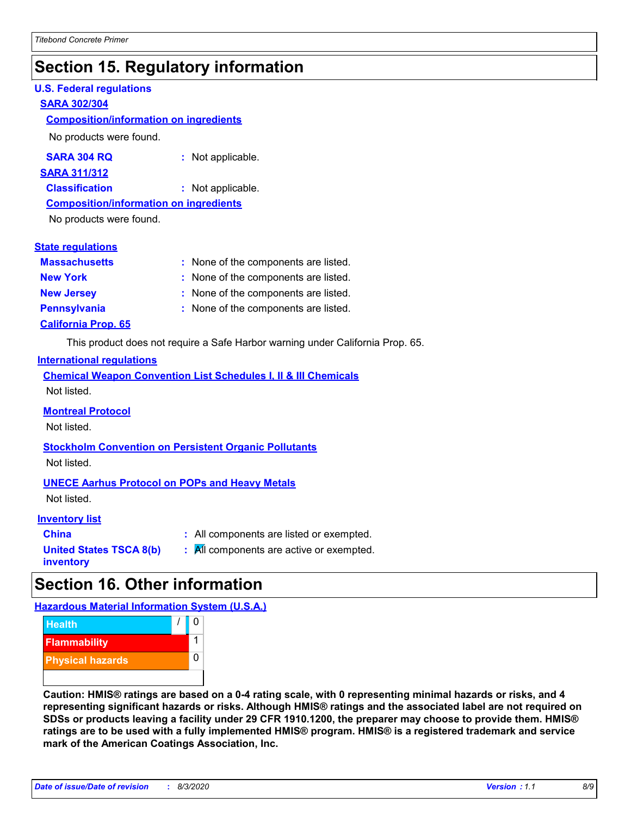### **Section 15. Regulatory information**

#### **U.S. Federal regulations**

#### **SARA 302/304**

#### **Composition/information on ingredients**

No products were found.

| SARA 304 RQ | : Not applicable. |
|-------------|-------------------|
|-------------|-------------------|

#### **SARA 311/312**

**Classification :** Not applicable.

#### **Composition/information on ingredients**

No products were found.

#### **State regulations**

| <b>Massachusetts</b>       | : None of the components are listed. |
|----------------------------|--------------------------------------|
| <b>New York</b>            | : None of the components are listed. |
| <b>New Jersey</b>          | : None of the components are listed. |
| <b>Pennsylvania</b>        | : None of the components are listed. |
| <b>California Prop. 65</b> |                                      |

This product does not require a Safe Harbor warning under California Prop. 65.

#### **International regulations**

|             |  |  | <b>Chemical Weapon Convention List Schedules I, II &amp; III Chemicals</b> |  |
|-------------|--|--|----------------------------------------------------------------------------|--|
| Not listed. |  |  |                                                                            |  |

#### **Montreal Protocol**

Not listed.

### **Stockholm Convention on Persistent Organic Pollutants**

Not listed.

#### **UNECE Aarhus Protocol on POPs and Heavy Metals**

Not listed.

#### **Inventory list**

| <b>China</b>            |  |
|-------------------------|--|
| United States TSCA 8(b) |  |
| inventory               |  |

**China :** All components are listed or exempted. **All components are active or exempted.** 

### **Section 16. Other information**

**Hazardous Material Information System (U.S.A.)**



**Caution: HMIS® ratings are based on a 0-4 rating scale, with 0 representing minimal hazards or risks, and 4 representing significant hazards or risks. Although HMIS® ratings and the associated label are not required on SDSs or products leaving a facility under 29 CFR 1910.1200, the preparer may choose to provide them. HMIS® ratings are to be used with a fully implemented HMIS® program. HMIS® is a registered trademark and service mark of the American Coatings Association, Inc.**